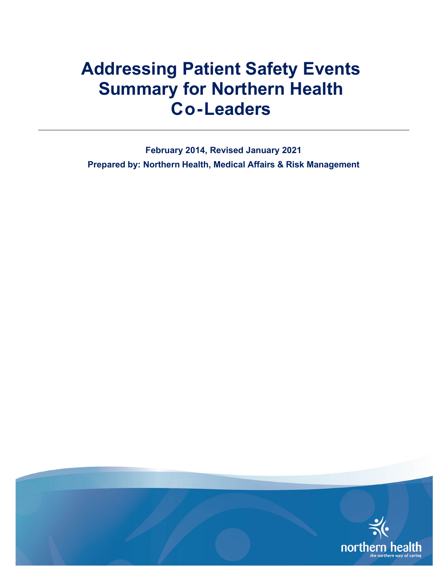<span id="page-0-0"></span>**February 2014, Revised January 2021 Prepared by: Northern Health, Medical Affairs & Risk Management**

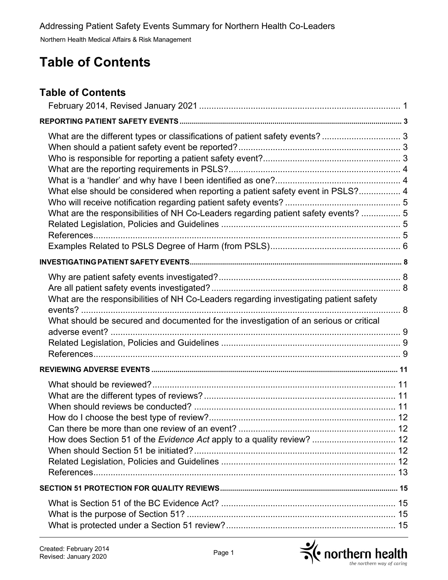# **Table of Contents**

#### **Table of Contents**

| What are the different types or classifications of patient safety events?  3<br>What else should be considered when reporting a patient safety event in PSLS? 4<br>What are the responsibilities of NH Co-Leaders regarding patient safety events?  5 |  |
|-------------------------------------------------------------------------------------------------------------------------------------------------------------------------------------------------------------------------------------------------------|--|
|                                                                                                                                                                                                                                                       |  |
| What are the responsibilities of NH Co-Leaders regarding investigating patient safety<br>What should be secured and documented for the investigation of an serious or critical                                                                        |  |
|                                                                                                                                                                                                                                                       |  |
| How does Section 51 of the Evidence Act apply to a quality review?  12                                                                                                                                                                                |  |
|                                                                                                                                                                                                                                                       |  |
|                                                                                                                                                                                                                                                       |  |

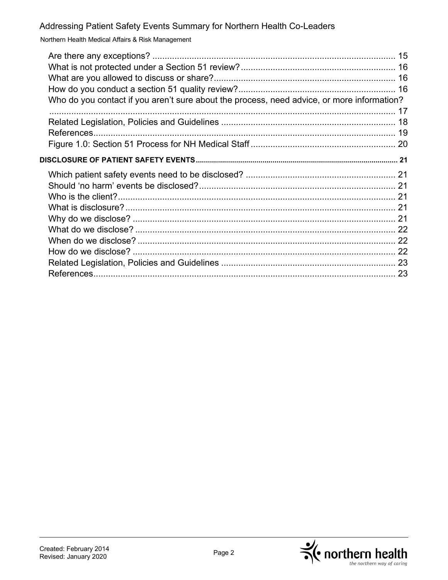Northern Health Medical Affairs & Risk Management

| Who do you contact if you aren't sure about the process, need advice, or more information? |  |
|--------------------------------------------------------------------------------------------|--|
|                                                                                            |  |
|                                                                                            |  |
|                                                                                            |  |
|                                                                                            |  |
|                                                                                            |  |
|                                                                                            |  |

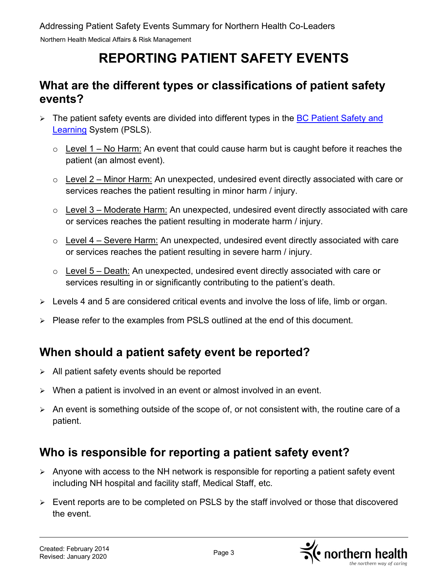# **REPORTING PATIENT SAFETY EVENTS**

### <span id="page-3-1"></span><span id="page-3-0"></span>**What are the different types or classifications of patient safety events?**

- $\triangleright$  The patient safety events are divided into different types in the BC Patient Safety and [Learning](https://provincial.bcpsls.ca/lp/start.php?HA=PHC) System (PSLS).
	- $\circ$  Level 1 No Harm: An event that could cause harm but is caught before it reaches the patient (an almost event).
	- $\circ$  Level 2 Minor Harm: An unexpected, undesired event directly associated with care or services reaches the patient resulting in minor harm / injury.
	- $\circ$  Level 3 Moderate Harm: An unexpected, undesired event directly associated with care or services reaches the patient resulting in moderate harm / injury.
	- $\circ$  Level 4 Severe Harm: An unexpected, undesired event directly associated with care or services reaches the patient resulting in severe harm / injury.
	- $\circ$  Level 5 Death: An unexpected, undesired event directly associated with care or services resulting in or significantly contributing to the patient's death.
- $\triangleright$  Levels 4 and 5 are considered critical events and involve the loss of life, limb or organ.
- $\triangleright$  Please refer to the examples from PSLS outlined at the end of this document.

### <span id="page-3-2"></span>**When should a patient safety event be reported?**

- $\triangleright$  All patient safety events should be reported
- $\triangleright$  When a patient is involved in an event or almost involved in an event.
- $\triangleright$  An event is something outside of the scope of, or not consistent with, the routine care of a patient.

### <span id="page-3-3"></span>**Who is responsible for reporting a patient safety event?**

- $\triangleright$  Anyone with access to the NH network is responsible for reporting a patient safety event including NH hospital and facility staff, Medical Staff, etc.
- Event reports are to be completed on PSLS by the staff involved or those that discovered the event.

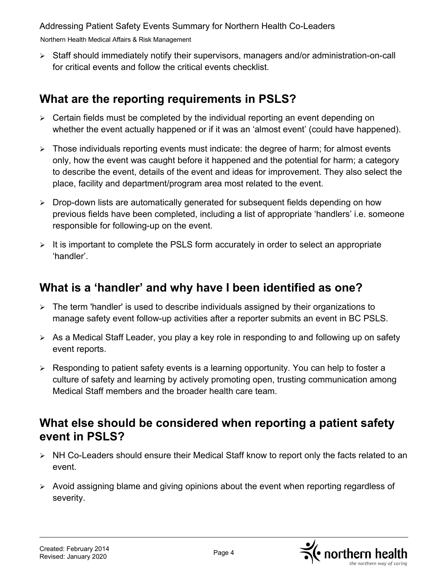Northern Health Medical Affairs & Risk Management

 Staff should immediately notify their supervisors, managers and/or administration-on-call for critical events and follow the critical events checklist.

# <span id="page-4-0"></span>**What are the reporting requirements in PSLS?**

- $\geq$  Certain fields must be completed by the individual reporting an event depending on whether the event actually happened or if it was an 'almost event' (could have happened).
- $\triangleright$  Those individuals reporting events must indicate: the degree of harm; for almost events only, how the event was caught before it happened and the potential for harm; a category to describe the event, details of the event and ideas for improvement. They also select the place, facility and department/program area most related to the event.
- $\triangleright$  Drop-down lists are automatically generated for subsequent fields depending on how previous fields have been completed, including a list of appropriate 'handlers' i.e. someone responsible for following-up on the event.
- $\triangleright$  It is important to complete the PSLS form accurately in order to select an appropriate 'handler'.

## <span id="page-4-1"></span>**What is a 'handler' and why have I been identified as one?**

- $\triangleright$  The term 'handler' is used to describe individuals assigned by their organizations to manage safety event follow-up activities after a reporter submits an event in BC PSLS.
- $\triangleright$  As a Medical Staff Leader, you play a key role in responding to and following up on safety event reports.
- $\triangleright$  Responding to patient safety events is a learning opportunity. You can help to foster a culture of safety and learning by actively promoting open, trusting communication among Medical Staff members and the broader health care team.

#### <span id="page-4-2"></span>**What else should be considered when reporting a patient safety event in PSLS?**

- ▶ NH Co-Leaders should ensure their Medical Staff know to report only the facts related to an event.
- Avoid assigning blame and giving opinions about the event when reporting regardless of severity.

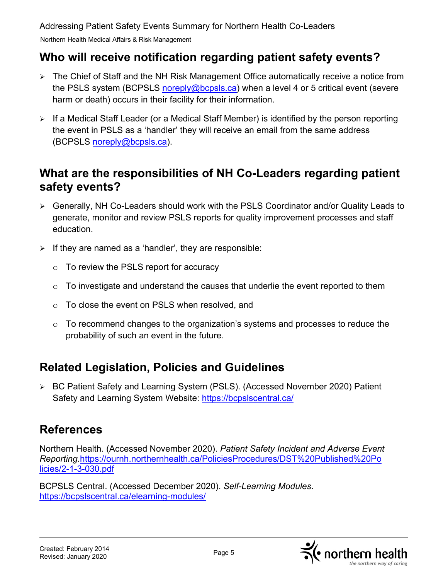Northern Health Medical Affairs & Risk Management

#### <span id="page-5-0"></span>**Who will receive notification regarding patient safety events?**

- The Chief of Staff and the NH Risk Management Office automatically receive a notice from the PSLS system (BCPSLS [noreply@bcpsls.ca\)](mailto:noreply@bcpsls.ca) when a level 4 or 5 critical event (severe harm or death) occurs in their facility for their information.
- $\triangleright$  If a Medical Staff Leader (or a Medical Staff Member) is identified by the person reporting the event in PSLS as a 'handler' they will receive an email from the same address (BCPSLS [noreply@bcpsls.ca\)](mailto:noreply@bcpsls.ca).

### <span id="page-5-1"></span>**What are the responsibilities of NH Co-Leaders regarding patient safety events?**

- Generally, NH Co-Leaders should work with the PSLS Coordinator and/or Quality Leads to generate, monitor and review PSLS reports for quality improvement processes and staff education.
- $\triangleright$  If they are named as a 'handler', they are responsible:
	- o To review the PSLS report for accuracy
	- $\circ$  To investigate and understand the causes that underlie the event reported to them
	- o To close the event on PSLS when resolved, and
	- $\circ$  To recommend changes to the organization's systems and processes to reduce the probability of such an event in the future.

# <span id="page-5-2"></span>**Related Legislation, Policies and Guidelines**

 BC Patient Safety and Learning System (PSLS). (Accessed November 2020) Patient Safety and Learning System Website:<https://bcpslscentral.ca/>

# <span id="page-5-3"></span>**References**

Northern Health. (Accessed November 2020). *Patient Safety Incident and Adverse Event Reporting*[.https://ournh.northernhealth.ca/PoliciesProcedures/DST%20Published%20Po](https://ournh.northernhealth.ca/PoliciesProcedures/DST%20Published%20Po%20%20%20%20%20%20licies/2-1-3-030.pdf)  [licies/2-1-3-030.pdf](https://ournh.northernhealth.ca/PoliciesProcedures/DST%20Published%20Po%20%20%20%20%20%20licies/2-1-3-030.pdf) 

BCPSLS Central. (Accessed December 2020). *Self-Learning Modules*. <https://bcpslscentral.ca/elearning-modules/>

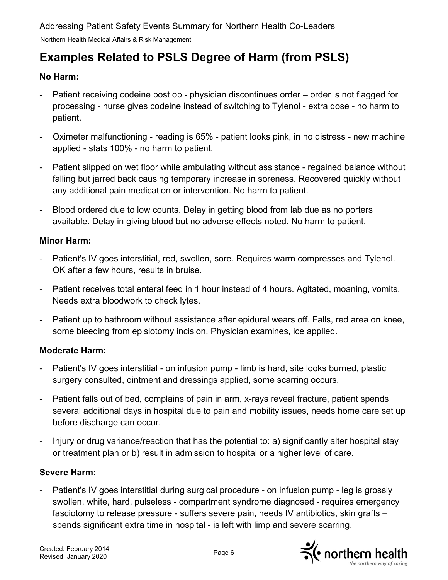# <span id="page-6-0"></span>**Examples Related to PSLS Degree of Harm (from PSLS)**

#### **No Harm:**

- Patient receiving codeine post op physician discontinues order order is not flagged for processing - nurse gives codeine instead of switching to Tylenol - extra dose - no harm to patient.
- Oximeter malfunctioning reading is 65% patient looks pink, in no distress new machine applied - stats 100% - no harm to patient.
- Patient slipped on wet floor while ambulating without assistance regained balance without falling but jarred back causing temporary increase in soreness. Recovered quickly without any additional pain medication or intervention. No harm to patient.
- Blood ordered due to low counts. Delay in getting blood from lab due as no porters available. Delay in giving blood but no adverse effects noted. No harm to patient.

#### **Minor Harm:**

- Patient's IV goes interstitial, red, swollen, sore. Requires warm compresses and Tylenol. OK after a few hours, results in bruise.
- Patient receives total enteral feed in 1 hour instead of 4 hours. Agitated, moaning, vomits. Needs extra bloodwork to check lytes.
- Patient up to bathroom without assistance after epidural wears off. Falls, red area on knee, some bleeding from episiotomy incision. Physician examines, ice applied.

#### **Moderate Harm:**

- Patient's IV goes interstitial on infusion pump limb is hard, site looks burned, plastic surgery consulted, ointment and dressings applied, some scarring occurs.
- Patient falls out of bed, complains of pain in arm, x-rays reveal fracture, patient spends several additional days in hospital due to pain and mobility issues, needs home care set up before discharge can occur.
- Injury or drug variance/reaction that has the potential to: a) significantly alter hospital stay or treatment plan or b) result in admission to hospital or a higher level of care.

#### **Severe Harm:**

Patient's IV goes interstitial during surgical procedure - on infusion pump - leg is grossly swollen, white, hard, pulseless - compartment syndrome diagnosed - requires emergency fasciotomy to release pressure - suffers severe pain, needs IV antibiotics, skin grafts – spends significant extra time in hospital - is left with limp and severe scarring.

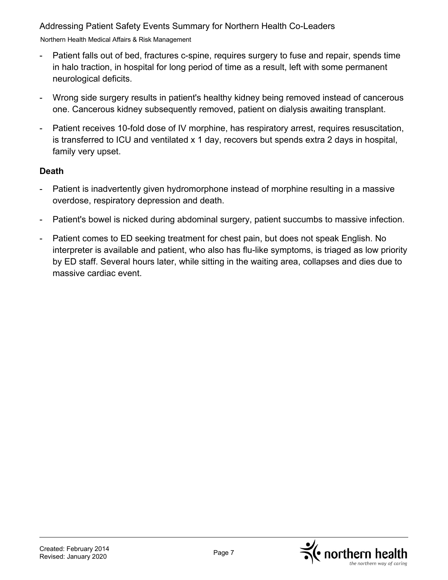Northern Health Medical Affairs & Risk Management

- Patient falls out of bed, fractures c-spine, requires surgery to fuse and repair, spends time in halo traction, in hospital for long period of time as a result, left with some permanent neurological deficits.
- Wrong side surgery results in patient's healthy kidney being removed instead of cancerous one. Cancerous kidney subsequently removed, patient on dialysis awaiting transplant.
- Patient receives 10-fold dose of IV morphine, has respiratory arrest, requires resuscitation, is transferred to ICU and ventilated x 1 day, recovers but spends extra 2 days in hospital, family very upset.

#### **Death**

- Patient is inadvertently given hydromorphone instead of morphine resulting in a massive overdose, respiratory depression and death.
- Patient's bowel is nicked during abdominal surgery, patient succumbs to massive infection.
- Patient comes to ED seeking treatment for chest pain, but does not speak English. No interpreter is available and patient, who also has flu-like symptoms, is triaged as low priority by ED staff. Several hours later, while sitting in the waiting area, collapses and dies due to massive cardiac event.

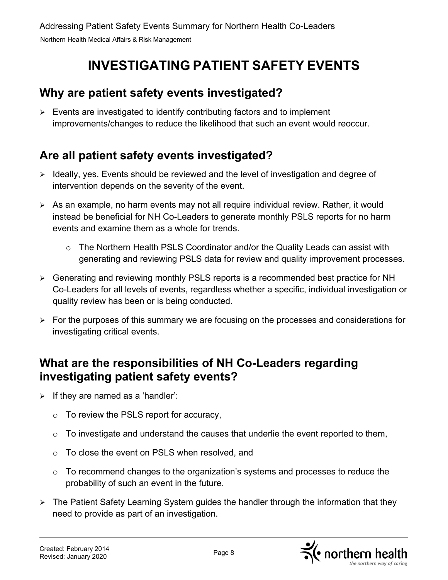# **INVESTIGATING PATIENT SAFETY EVENTS**

#### <span id="page-8-1"></span><span id="page-8-0"></span>**Why are patient safety events investigated?**

 $\triangleright$  Events are investigated to identify contributing factors and to implement improvements/changes to reduce the likelihood that such an event would reoccur.

# <span id="page-8-2"></span>**Are all patient safety events investigated?**

- $\triangleright$  Ideally, yes. Events should be reviewed and the level of investigation and degree of intervention depends on the severity of the event.
- $\triangleright$  As an example, no harm events may not all require individual review. Rather, it would instead be beneficial for NH Co-Leaders to generate monthly PSLS reports for no harm events and examine them as a whole for trends.
	- $\circ$  The Northern Health PSLS Coordinator and/or the Quality Leads can assist with generating and reviewing PSLS data for review and quality improvement processes.
- Generating and reviewing monthly PSLS reports is a recommended best practice for NH Co-Leaders for all levels of events, regardless whether a specific, individual investigation or quality review has been or is being conducted.
- $\triangleright$  For the purposes of this summary we are focusing on the processes and considerations for investigating critical events.

### <span id="page-8-3"></span>**What are the responsibilities of NH Co-Leaders regarding investigating patient safety events?**

- $\triangleright$  If they are named as a 'handler':
	- $\circ$  To review the PSLS report for accuracy,
	- $\circ$  To investigate and understand the causes that underlie the event reported to them,
	- o To close the event on PSLS when resolved, and
	- $\circ$  To recommend changes to the organization's systems and processes to reduce the probability of such an event in the future.
- The Patient Safety Learning System guides the handler through the information that they need to provide as part of an investigation.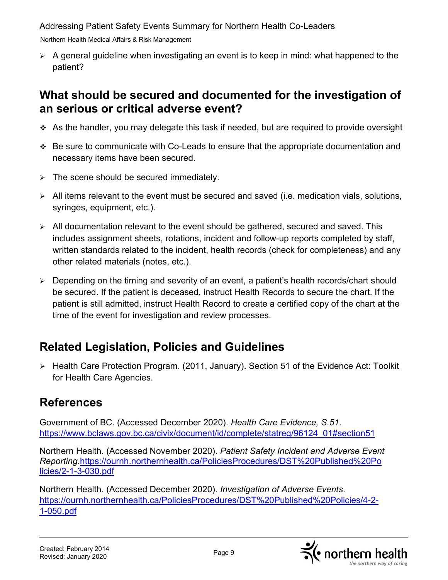Northern Health Medical Affairs & Risk Management

 $\triangleright$  A general guideline when investigating an event is to keep in mind: what happened to the patient?

#### <span id="page-9-0"></span>**What should be secured and documented for the investigation of an serious or critical adverse event?**

- As the handler, you may delegate this task if needed, but are required to provide oversight
- Be sure to communicate with Co-Leads to ensure that the appropriate documentation and necessary items have been secured.
- $\triangleright$  The scene should be secured immediately.
- $\triangleright$  All items relevant to the event must be secured and saved (i.e. medication vials, solutions, syringes, equipment, etc.).
- $\triangleright$  All documentation relevant to the event should be gathered, secured and saved. This includes assignment sheets, rotations, incident and follow-up reports completed by staff, written standards related to the incident, health records (check for completeness) and any other related materials (notes, etc.).
- $\triangleright$  Depending on the timing and severity of an event, a patient's health records/chart should be secured. If the patient is deceased, instruct Health Records to secure the chart. If the patient is still admitted, instruct Health Record to create a certified copy of the chart at the time of the event for investigation and review processes.

# <span id="page-9-1"></span>**Related Legislation, Policies and Guidelines**

> Health Care Protection Program. (2011, January). Section 51 of the Evidence Act: Toolkit for Health Care Agencies.

# <span id="page-9-2"></span>**References**

Government of BC. (Accessed December 2020). *Health Care Evidence, S.51*. [https://www.bclaws.gov.bc.ca/civix/document/id/complete/statreg/96124\\_01#section51](https://www.bclaws.gov.bc.ca/civix/document/id/complete/statreg/96124_01#section51) 

Northern Health. (Accessed November 2020). *Patient Safety Incident and Adverse Event Reporting*[.https://ournh.northernhealth.ca/PoliciesProcedures/DST%20Published%20Po](https://ournh.northernhealth.ca/PoliciesProcedures/DST%20Published%20Po%20%20%20%20%20%20licies/2-1-3-030.pdf)  [licies/2-1-3-030.pdf](https://ournh.northernhealth.ca/PoliciesProcedures/DST%20Published%20Po%20%20%20%20%20%20licies/2-1-3-030.pdf) 

Northern Health. (Accessed December 2020). *Investigation of Adverse Events*. [https://ournh.northernhealth.ca/PoliciesProcedures/DST%20Published%20Policies/4-2-](https://ournh.northernhealth.ca/PoliciesProcedures/DST%20Published%20Policies/4-2-1-050.pdf)  [1-050.pdf](https://ournh.northernhealth.ca/PoliciesProcedures/DST%20Published%20Policies/4-2-1-050.pdf)

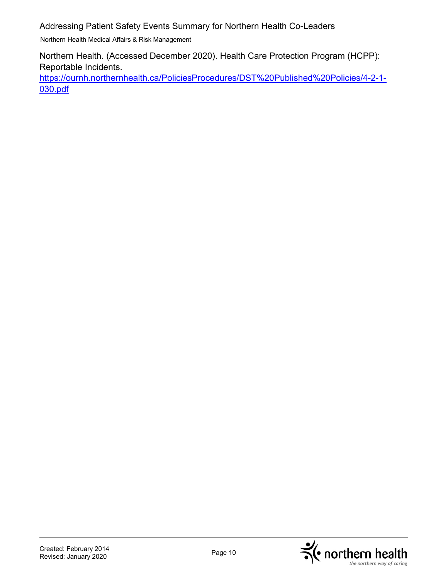Northern Health Medical Affairs & Risk Management

Northern Health. (Accessed December 2020). Health Care Protection Program (HCPP): Reportable Incidents.

[https://ournh.northernhealth.ca/PoliciesProcedures/DST%20Published%20Policies/4-2-1-](https://ournh.northernhealth.ca/PoliciesProcedures/DST%20Published%20Policies/4-2-1-030.pdf) [030.pdf](https://ournh.northernhealth.ca/PoliciesProcedures/DST%20Published%20Policies/4-2-1-030.pdf) 

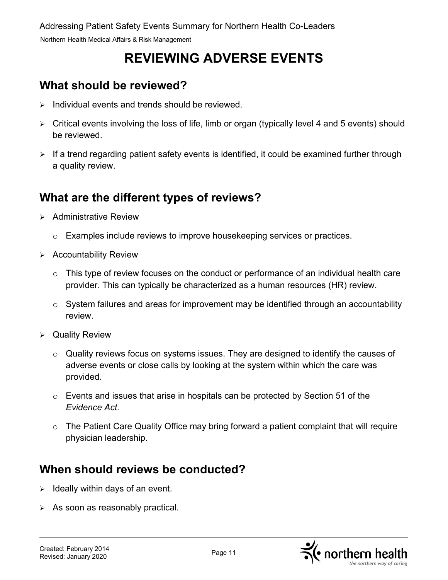# **REVIEWING ADVERSE EVENTS**

# <span id="page-11-1"></span><span id="page-11-0"></span>**What should be reviewed?**

- $\triangleright$  Individual events and trends should be reviewed.
- Critical events involving the loss of life, limb or organ (typically level 4 and 5 events) should be reviewed.
- $\triangleright$  If a trend regarding patient safety events is identified, it could be examined further through a quality review.

## <span id="page-11-2"></span>**What are the different types of reviews?**

- $\triangleright$  Administrative Review
	- $\circ$  Examples include reviews to improve housekeeping services or practices.
- $\triangleright$  Accountability Review
	- $\circ$  This type of review focuses on the conduct or performance of an individual health care provider. This can typically be characterized as a human resources (HR) review.
	- $\circ$  System failures and areas for improvement may be identified through an accountability review.
- Quality Review
	- o Quality reviews focus on systems issues. They are designed to identify the causes of adverse events or close calls by looking at the system within which the care was provided.
	- $\circ$  Events and issues that arise in hospitals can be protected by Section 51 of the *Evidence Act*.
	- o The Patient Care Quality Office may bring forward a patient complaint that will require physician leadership.

# <span id="page-11-3"></span>**When should reviews be conducted?**

- $\geq$  Ideally within days of an event.
- $\triangleright$  As soon as reasonably practical.

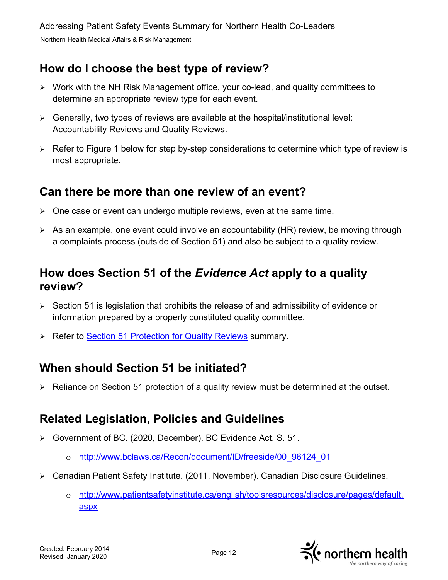### <span id="page-12-0"></span>**How do I choose the best type of review?**

- Work with the NH Risk Management office, your co-lead, and quality committees to determine an appropriate review type for each event.
- $\triangleright$  Generally, two types of reviews are available at the hospital/institutional level: Accountability Reviews and Quality Reviews.
- $\triangleright$  Refer to Figure 1 below for step by-step considerations to determine which type of review is most appropriate.

#### <span id="page-12-1"></span>**Can there be more than one review of an event?**

- $\triangleright$  One case or event can undergo multiple reviews, even at the same time.
- $\triangleright$  As an example, one event could involve an accountability (HR) review, be moving through a complaints process (outside of Section 51) and also be subject to a quality review.

#### <span id="page-12-2"></span>**How does Section 51 of the** *Evidence Act* **apply to a quality review?**

- $\triangleright$  Section 51 is legislation that prohibits the release of and admissibility of evidence or information prepared by a properly constituted quality committee.
- **EXA** Refer to [Section 51 Protection for Quality Reviews](#page-15-0) summary.

#### <span id="page-12-3"></span>**When should Section 51 be initiated?**

 $\triangleright$  Reliance on Section 51 protection of a quality review must be determined at the outset.

### <span id="page-12-4"></span>**Related Legislation, Policies and Guidelines**

- Government of BC. (2020, December). BC Evidence Act, S. 51.
	- o [http://www.bclaws.ca/Recon/document/ID/freeside/00\\_96124\\_01](http://www.bclaws.ca/Recon/document/ID/freeside/00_96124_01)
- Canadian Patient Safety Institute. (2011, November). Canadian Disclosure Guidelines.
	- o [http://www.patientsafetyinstitute.ca/english/toolsresources/disclosure/pages/default.](http://www.patientsafetyinstitute.ca/english/toolsresources/disclosure/pages/default.aspx) [aspx](http://www.patientsafetyinstitute.ca/english/toolsresources/disclosure/pages/default.aspx)

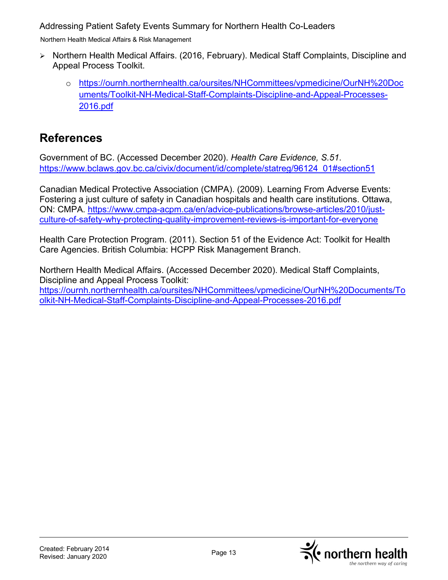Northern Health Medical Affairs & Risk Management

- Northern Health Medical Affairs. (2016, February). Medical Staff Complaints, Discipline and Appeal Process Toolkit.
	- o [https://ournh.northernhealth.ca/oursites/NHCommittees/vpmedicine/OurNH%20Doc](https://ournh.northernhealth.ca/oursites/NHCommittees/vpmedicine/OurNH%20Documents/Toolkit-NH-Medical-Staff-Complaints-Discipline-and-Appeal-Processes-2016.pdf) [uments/Toolkit-NH-Medical-Staff-Complaints-Discipline-and-Appeal-Processes-](https://ournh.northernhealth.ca/oursites/NHCommittees/vpmedicine/OurNH%20Documents/Toolkit-NH-Medical-Staff-Complaints-Discipline-and-Appeal-Processes-2016.pdf)[2016.pdf](https://ournh.northernhealth.ca/oursites/NHCommittees/vpmedicine/OurNH%20Documents/Toolkit-NH-Medical-Staff-Complaints-Discipline-and-Appeal-Processes-2016.pdf)

### <span id="page-13-0"></span>**References**

Government of BC. (Accessed December 2020). *Health Care Evidence, S.51*. [https://www.bclaws.gov.bc.ca/civix/document/id/complete/statreg/96124\\_01#section51](https://www.bclaws.gov.bc.ca/civix/document/id/complete/statreg/96124_01#section51) 

Canadian Medical Protective Association (CMPA). (2009). Learning From Adverse Events: Fostering a just culture of safety in Canadian hospitals and health care institutions. Ottawa, ON: CMPA. [https://www.cmpa-acpm.ca/en/advice-publications/browse-articles/2010/just](https://www.cmpa-acpm.ca/en/advice-publications/browse-articles/2010/just-culture-of-safety-why-protecting-quality-improvement-reviews-is-important-for-everyone)[culture-of-safety-why-protecting-quality-improvement-reviews-is-important-for-everyone](https://www.cmpa-acpm.ca/en/advice-publications/browse-articles/2010/just-culture-of-safety-why-protecting-quality-improvement-reviews-is-important-for-everyone)

Health Care Protection Program. (2011). Section 51 of the Evidence Act: Toolkit for Health Care Agencies. British Columbia: HCPP Risk Management Branch.

Northern Health Medical Affairs. (Accessed December 2020). Medical Staff Complaints, Discipline and Appeal Process Toolkit: [https://ournh.northernhealth.ca/oursites/NHCommittees/vpmedicine/OurNH%20Documents/To](https://ournh.northernhealth.ca/oursites/NHCommittees/vpmedicine/OurNH%20Documents/Toolkit-NH-Medical-Staff-Complaints-Discipline-and-Appeal-Processes-2016.pdf) [olkit-NH-Medical-Staff-Complaints-Discipline-and-Appeal-Processes-2016.pdf](https://ournh.northernhealth.ca/oursites/NHCommittees/vpmedicine/OurNH%20Documents/Toolkit-NH-Medical-Staff-Complaints-Discipline-and-Appeal-Processes-2016.pdf)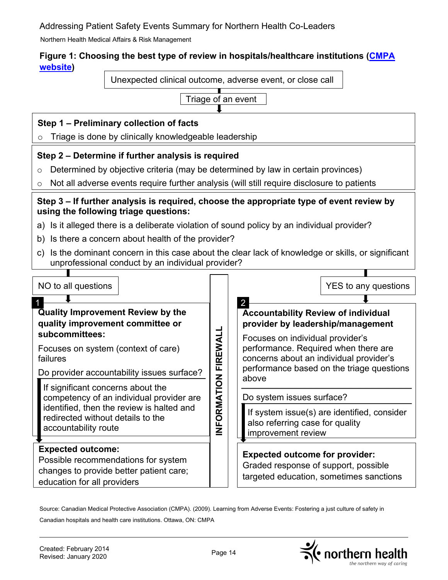Northern Health Medical Affairs & Risk Management

#### **Figure 1: Choosing the best type of review in hospitals/healthcare institutions [\(CMPA](https://www.cmpa-acpm.ca/en/advice-publications/browse-articles/2009/learning-from-adverse-events-fostering-a-just-culture-of-safety-in-canadian-hospitals-and-health-care-institutions#introduction)  [website\)](https://www.cmpa-acpm.ca/en/advice-publications/browse-articles/2009/learning-from-adverse-events-fostering-a-just-culture-of-safety-in-canadian-hospitals-and-health-care-institutions#introduction)**

Unexpected clinical outcome, adverse event, or close call



#### **Step 1 – Preliminary collection of facts**

o Triage is done by clinically knowledgeable leadership

#### **Step 2 – Determine if further analysis is required**

- $\circ$  Determined by objective criteria (may be determined by law in certain provinces)
- o Not all adverse events require further analysis (will still require disclosure to patients

#### **Step 3 – If further analysis is required, choose the appropriate type of event review by using the following triage questions:**

- a) Is it alleged there is a deliberate violation of sound policy by an individual provider?
- b) Is there a concern about health of the provider?
- c) Is the dominant concern in this case about the clear lack of knowledge or skills, or significant unprofessional conduct by an individual provider?

| NO to all questions                                                                                                                       | FIREWALL<br>NFORMATION | YES to any questions                                                                                                     |
|-------------------------------------------------------------------------------------------------------------------------------------------|------------------------|--------------------------------------------------------------------------------------------------------------------------|
|                                                                                                                                           |                        |                                                                                                                          |
| <b>Quality Improvement Review by the</b><br>quality improvement committee or                                                              |                        | <b>Accountability Review of individual</b><br>provider by leadership/management                                          |
| subcommittees:<br>Focuses on system (context of care)<br>failures                                                                         |                        | Focuses on individual provider's<br>performance. Required when there are<br>concerns about an individual provider's      |
| Do provider accountability issues surface?                                                                                                |                        | performance based on the triage questions                                                                                |
| If significant concerns about the<br>competency of an individual provider are<br>identified, then the review is halted and                |                        | above<br>Do system issues surface?                                                                                       |
| redirected without details to the<br>accountability route                                                                                 |                        | If system issue(s) are identified, consider<br>also referring case for quality<br>improvement review                     |
|                                                                                                                                           |                        |                                                                                                                          |
| <b>Expected outcome:</b><br>Possible recommendations for system<br>changes to provide better patient care;<br>education for all providers |                        | <b>Expected outcome for provider:</b><br>Graded response of support, possible<br>targeted education, sometimes sanctions |

Source: Canadian Medical Protective Association (CMPA). (2009). Learning from Adverse Events: Fostering a just culture of safety in Canadian hospitals and health care institutions. Ottawa, ON: CMPA

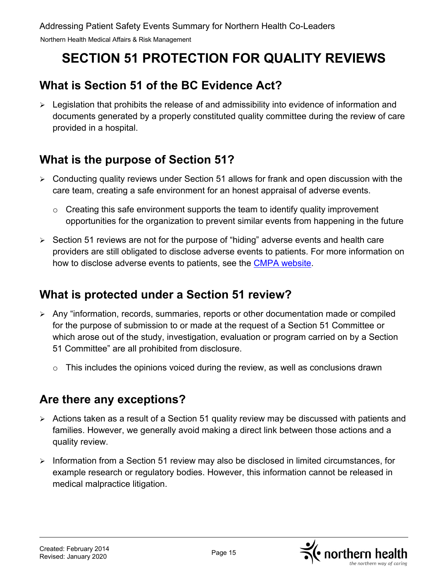# <span id="page-15-0"></span>**SECTION 51 PROTECTION FOR QUALITY REVIEWS**

# <span id="page-15-1"></span>**What is Section 51 of the BC Evidence Act?**

 $\triangleright$  Legislation that prohibits the release of and admissibility into evidence of information and documents generated by a properly constituted quality committee during the review of care provided in a hospital.

# <span id="page-15-2"></span>**What is the purpose of Section 51?**

- $\triangleright$  Conducting quality reviews under Section 51 allows for frank and open discussion with the care team, creating a safe environment for an honest appraisal of adverse events.
	- $\circ$  Creating this safe environment supports the team to identify quality improvement opportunities for the organization to prevent similar events from happening in the future
- $\triangleright$  Section 51 reviews are not for the purpose of "hiding" adverse events and health care providers are still obligated to disclose adverse events to patients. For more information on how to disclose adverse events to patients, see the [CMPA website.](https://www.cmpa-acpm.ca/en/advice-publications/browse-articles/2015/disclosing-harm-from-healthcare-delivery-open-and-honest-communication-with-patients)

### <span id="page-15-3"></span>**What is protected under a Section 51 review?**

- Any "information, records, summaries, reports or other documentation made or compiled for the purpose of submission to or made at the request of a Section 51 Committee or which arose out of the study, investigation, evaluation or program carried on by a Section 51 Committee" are all prohibited from disclosure.
	- $\circ$  This includes the opinions voiced during the review, as well as conclusions drawn

### <span id="page-15-4"></span>**Are there any exceptions?**

- Actions taken as a result of a Section 51 quality review may be discussed with patients and families. However, we generally avoid making a direct link between those actions and a quality review.
- $\triangleright$  Information from a Section 51 review may also be disclosed in limited circumstances, for example research or regulatory bodies. However, this information cannot be released in medical malpractice litigation.

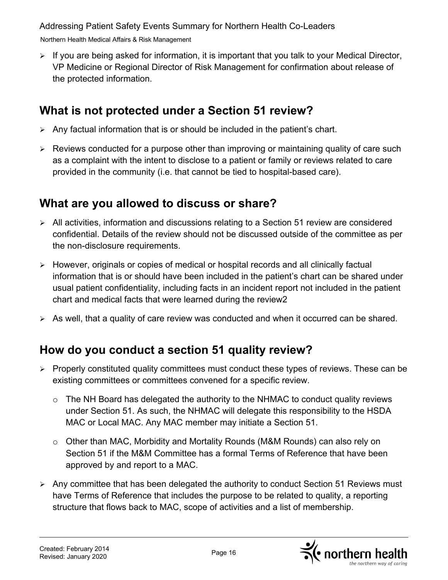Northern Health Medical Affairs & Risk Management

 $\triangleright$  If you are being asked for information, it is important that you talk to your Medical Director, VP Medicine or Regional Director of Risk Management for confirmation about release of the protected information.

### <span id="page-16-0"></span>**What is not protected under a Section 51 review?**

- $\triangleright$  Any factual information that is or should be included in the patient's chart.
- $\triangleright$  Reviews conducted for a purpose other than improving or maintaining quality of care such as a complaint with the intent to disclose to a patient or family or reviews related to care provided in the community (i.e. that cannot be tied to hospital-based care).

## <span id="page-16-1"></span>**What are you allowed to discuss or share?**

- $\triangleright$  All activities, information and discussions relating to a Section 51 review are considered confidential. Details of the review should not be discussed outside of the committee as per the non-disclosure requirements.
- However, originals or copies of medical or hospital records and all clinically factual information that is or should have been included in the patient's chart can be shared under usual patient confidentiality, including facts in an incident report not included in the patient chart and medical facts that were learned during the review2
- $\triangleright$  As well, that a quality of care review was conducted and when it occurred can be shared.

# <span id="page-16-2"></span>**How do you conduct a section 51 quality review?**

- $\triangleright$  Properly constituted quality committees must conduct these types of reviews. These can be existing committees or committees convened for a specific review.
	- The NH Board has delegated the authority to the NHMAC to conduct quality reviews under Section 51. As such, the NHMAC will delegate this responsibility to the HSDA MAC or Local MAC. Any MAC member may initiate a Section 51.
	- $\circ$  Other than MAC, Morbidity and Mortality Rounds (M&M Rounds) can also rely on Section 51 if the M&M Committee has a formal Terms of Reference that have been approved by and report to a MAC.
- $\triangleright$  Any committee that has been delegated the authority to conduct Section 51 Reviews must have Terms of Reference that includes the purpose to be related to quality, a reporting structure that flows back to MAC, scope of activities and a list of membership.

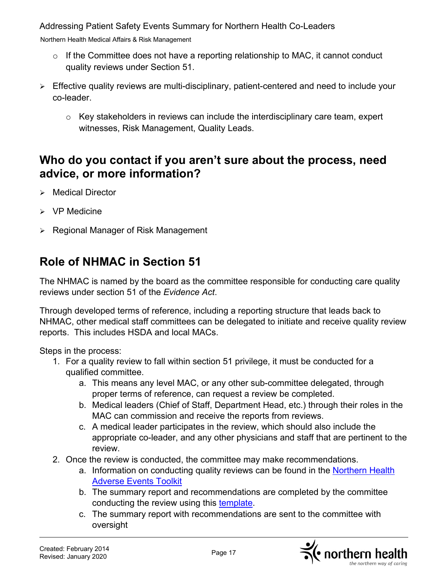Northern Health Medical Affairs & Risk Management

- $\circ$  If the Committee does not have a reporting relationship to MAC, it cannot conduct quality reviews under Section 51.
- Effective quality reviews are multi-disciplinary, patient-centered and need to include your co-leader.
	- $\circ$  Key stakeholders in reviews can include the interdisciplinary care team, expert witnesses, Risk Management, Quality Leads.

#### <span id="page-17-0"></span>**Who do you contact if you aren't sure about the process, need advice, or more information?**

- $\triangleright$  Medical Director
- $\triangleright$  VP Medicine
- $\triangleright$  Regional Manager of Risk Management

# **Role of NHMAC in Section 51**

The NHMAC is named by the board as the committee responsible for conducting care quality reviews under section 51 of the *Evidence Act*.

Through developed terms of reference, including a reporting structure that leads back to NHMAC, other medical staff committees can be delegated to initiate and receive quality review reports. This includes HSDA and local MACs.

Steps in the process:

- 1. For a quality review to fall within section 51 privilege, it must be conducted for a qualified committee.
	- a. This means any level MAC, or any other sub-committee delegated, through proper terms of reference, can request a review be completed.
	- b. Medical leaders (Chief of Staff, Department Head, etc.) through their roles in the MAC can commission and receive the reports from reviews.
	- c. A medical leader participates in the review, which should also include the appropriate co-leader, and any other physicians and staff that are pertinent to the review.
- 2. Once the review is conducted, the committee may make recommendations.
	- a. Information on conducting quality reviews can be found in the Northern Health [Adverse Events Toolkit](http://docushare.northernhealth.ca/docushare/dsweb/Get/Document-171296/10-300-6280.pdf)
	- b. The summary report and recommendations are completed by the committee conducting the review using this [template.](http://docushare.northernhealth.ca/docushare/dsweb/Get/Document-171281/10-300-7054.pdf)
	- c. The summary report with recommendations are sent to the committee with oversight

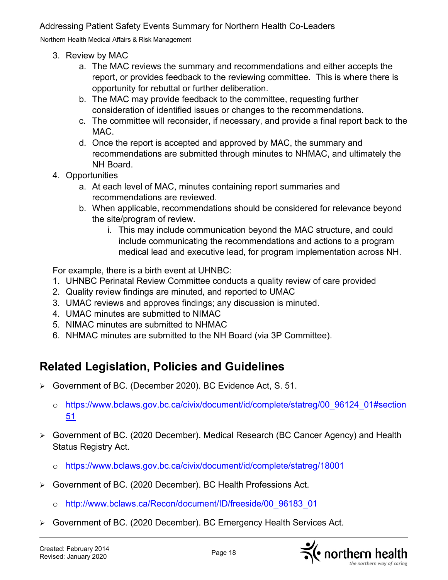Northern Health Medical Affairs & Risk Management

- 3. Review by MAC
	- a. The MAC reviews the summary and recommendations and either accepts the report, or provides feedback to the reviewing committee. This is where there is opportunity for rebuttal or further deliberation.
	- b. The MAC may provide feedback to the committee, requesting further consideration of identified issues or changes to the recommendations.
	- c. The committee will reconsider, if necessary, and provide a final report back to the MAC.
	- d. Once the report is accepted and approved by MAC, the summary and recommendations are submitted through minutes to NHMAC, and ultimately the NH Board.
- 4. Opportunities
	- a. At each level of MAC, minutes containing report summaries and recommendations are reviewed.
	- b. When applicable, recommendations should be considered for relevance beyond the site/program of review.
		- i. This may include communication beyond the MAC structure, and could include communicating the recommendations and actions to a program medical lead and executive lead, for program implementation across NH.

For example, there is a birth event at UHNBC:

- 1. UHNBC Perinatal Review Committee conducts a quality review of care provided
- 2. Quality review findings are minuted, and reported to UMAC
- 3. UMAC reviews and approves findings; any discussion is minuted.
- 4. UMAC minutes are submitted to NIMAC
- 5. NIMAC minutes are submitted to NHMAC
- 6. NHMAC minutes are submitted to the NH Board (via 3P Committee).

# <span id="page-18-0"></span>**Related Legislation, Policies and Guidelines**

- Government of BC. (December 2020). BC Evidence Act, S. 51.
	- o [https://www.bclaws.gov.bc.ca/civix/document/id/complete/statreg/00\\_96124\\_01#section](https://www.bclaws.gov.bc.ca/civix/document/id/complete/statreg/00_96124_01#section51) [51](https://www.bclaws.gov.bc.ca/civix/document/id/complete/statreg/00_96124_01#section51)
- Government of BC. (2020 December). Medical Research (BC Cancer Agency) and Health Status Registry Act.
	- o <https://www.bclaws.gov.bc.ca/civix/document/id/complete/statreg/18001>
- Government of BC. (2020 December). BC Health Professions Act.
	- o [http://www.bclaws.ca/Recon/document/ID/freeside/00\\_96183\\_01](http://www.bclaws.ca/Recon/document/ID/freeside/00_96183_01)
- Government of BC. (2020 December). BC Emergency Health Services Act.

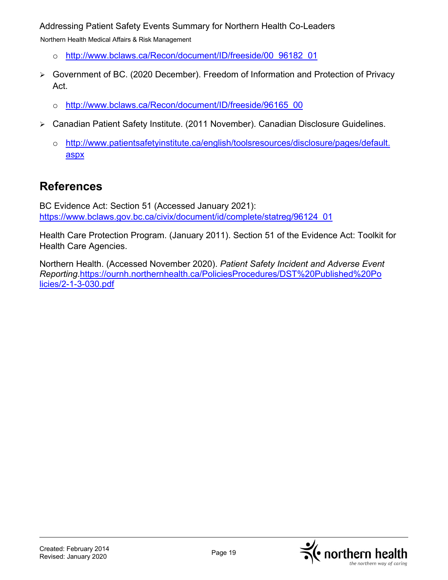Northern Health Medical Affairs & Risk Management

- o [http://www.bclaws.ca/Recon/document/ID/freeside/00\\_96182\\_01](http://www.bclaws.ca/Recon/document/ID/freeside/00_96182_01)
- Government of BC. (2020 December). Freedom of Information and Protection of Privacy Act.
	- o [http://www.bclaws.ca/Recon/document/ID/freeside/96165\\_00](http://www.bclaws.ca/Recon/document/ID/freeside/96165_00)
- Canadian Patient Safety Institute. (2011 November). Canadian Disclosure Guidelines.
	- o [http://www.patientsafetyinstitute.ca/english/toolsresources/disclosure/pages/default.](http://www.patientsafetyinstitute.ca/english/toolsresources/disclosure/pages/default.aspx)  [aspx](http://www.patientsafetyinstitute.ca/english/toolsresources/disclosure/pages/default.aspx)

#### <span id="page-19-0"></span>**References**

BC Evidence Act: Section 51 (Accessed January 2021): [https://www.bclaws.gov.bc.ca/civix/document/id/complete/statreg/96124\\_01](https://www.bclaws.gov.bc.ca/civix/document/id/complete/statreg/96124_01) 

Health Care Protection Program. (January 2011). Section 51 of the Evidence Act: Toolkit for Health Care Agencies.

Northern Health. (Accessed November 2020). *Patient Safety Incident and Adverse Event Reporting*[.https://ournh.northernhealth.ca/PoliciesProcedures/DST%20Published%20Po](https://ournh.northernhealth.ca/PoliciesProcedures/DST%20Published%20Po%20%20%20%20%20%20licies/2-1-3-030.pdf)  [licies/2-1-3-030.pdf](https://ournh.northernhealth.ca/PoliciesProcedures/DST%20Published%20Po%20%20%20%20%20%20licies/2-1-3-030.pdf) 

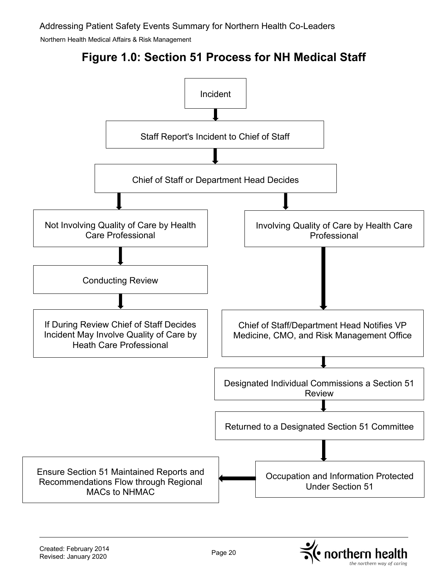

<span id="page-20-0"></span>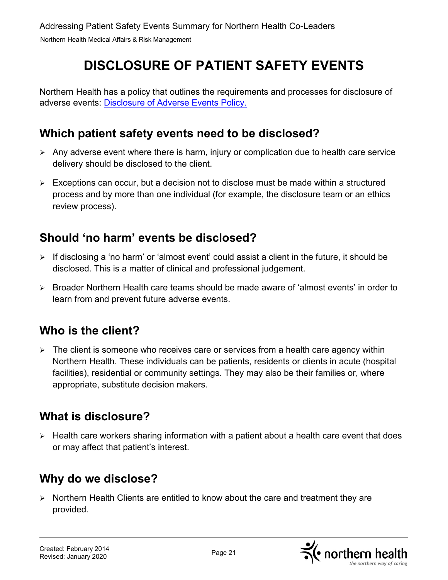# **DISCLOSURE OF PATIENT SAFETY EVENTS**

<span id="page-21-0"></span>Northern Health has a policy that outlines the requirements and processes for disclosure of adverse events: [Disclosure of Adverse Events Policy.](https://ournh.northernhealth.ca/PoliciesProcedures/DST%20Published%20Policies/4-2-3-030.pdf)

### <span id="page-21-1"></span>**Which patient safety events need to be disclosed?**

- $\triangleright$  Any adverse event where there is harm, injury or complication due to health care service delivery should be disclosed to the client.
- $\triangleright$  Exceptions can occur, but a decision not to disclose must be made within a structured process and by more than one individual (for example, the disclosure team or an ethics review process).

### <span id="page-21-2"></span>**Should 'no harm' events be disclosed?**

- $\triangleright$  If disclosing a 'no harm' or 'almost event' could assist a client in the future, it should be disclosed. This is a matter of clinical and professional judgement.
- Broader Northern Health care teams should be made aware of 'almost events' in order to learn from and prevent future adverse events.

### <span id="page-21-3"></span>**Who is the client?**

 $\triangleright$  The client is someone who receives care or services from a health care agency within Northern Health. These individuals can be patients, residents or clients in acute (hospital facilities), residential or community settings. They may also be their families or, where appropriate, substitute decision makers.

### <span id="page-21-4"></span>**What is disclosure?**

 $\triangleright$  Health care workers sharing information with a patient about a health care event that does or may affect that patient's interest.

# <span id="page-21-5"></span>**Why do we disclose?**

 $\triangleright$  Northern Health Clients are entitled to know about the care and treatment they are provided.

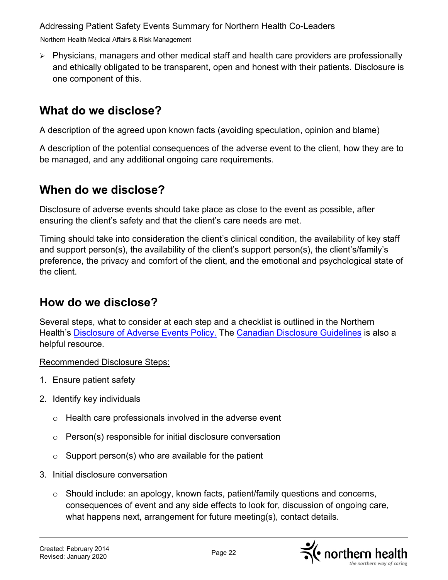Northern Health Medical Affairs & Risk Management

 Physicians, managers and other medical staff and health care providers are professionally and ethically obligated to be transparent, open and honest with their patients. Disclosure is one component of this.

#### <span id="page-22-0"></span>**What do we disclose?**

A description of the agreed upon known facts (avoiding speculation, opinion and blame)

A description of the potential consequences of the adverse event to the client, how they are to be managed, and any additional ongoing care requirements.

#### <span id="page-22-1"></span>**When do we disclose?**

Disclosure of adverse events should take place as close to the event as possible, after ensuring the client's safety and that the client's care needs are met.

Timing should take into consideration the client's clinical condition, the availability of key staff and support person(s), the availability of the client's support person(s), the client's/family's preference, the privacy and comfort of the client, and the emotional and psychological state of the client.

#### <span id="page-22-2"></span>**How do we disclose?**

Several steps, what to consider at each step and a checklist is outlined in the Northern Health's [Disclosure of Adverse Events Policy.](https://ournh.northernhealth.ca/PoliciesProcedures/DST%20Published%20Policies/4-2-3-030.pdf) The [Canadian Disclosure Guidelines](https://www.patientsafetyinstitute.ca/en/toolsResources/disclosure/Pages/default.aspx) is also a helpful resource.

Recommended Disclosure Steps:

- 1. Ensure patient safety
- 2. Identify key individuals
	- o Health care professionals involved in the adverse event
	- o Person(s) responsible for initial disclosure conversation
	- $\circ$  Support person(s) who are available for the patient
- 3. Initial disclosure conversation
	- o Should include: an apology, known facts, patient/family questions and concerns, consequences of event and any side effects to look for, discussion of ongoing care, what happens next, arrangement for future meeting(s), contact details.